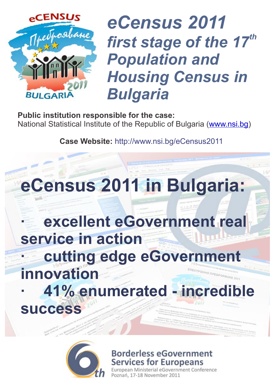

### *eCensus 2011* first stage of the 17<sup>th</sup> *Population and Housing Census in Bulgaria*

**Public institution responsible for the case:** National Statistical Institute of the Republic of Bulgaria (<u>www.nsi.bg</u>)

**Case Website:** http://www.nsi.bg/eCensus2011



#### **excellent eGovernment real service in action cutting edge eGover innovation · 41% enumerated - incredible success**



**Borderless eGovernment Services for Europeans** 

terial eGovernment Conference nań, 17-18 November 2011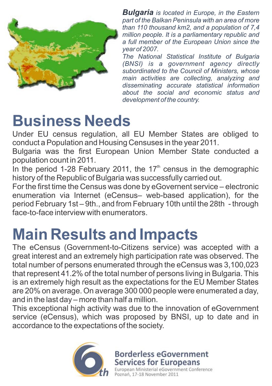

*Bulgaria is located in Europe, in the Eastern part of the Balkan Peninsula with an area of more than 110 thousand km2, and a population of 7,4 million people. It is a parliamentary republic and a full member of the European Union since the year of 2007.*

*The National Statistical Institute of Bulgaria (BNSI) is a government agency directly subordinated to the Council of Ministers, whose main activities are collecting, analyzing and disseminating accurate statistical information about the social and economic status and development of the country.*

#### **Business Needs**

Under EU census regulation, all EU Member States are obliged to conduct a Population and Housing Censuses in the year 2011.

Bulgaria was the first European Union Member State conducted a population count in 2011.

In the period 1-28 February 2011, the  $17<sup>th</sup>$  census in the demographic history of the Republic of Bulgaria was successfully carried out.

For the first time the Census was done by eGovernent service – electronic enumeration via Internet (eCensus– web-based application), for the period February 1st – 9th., and from February 10th until the 28th - through face-to-face interview with enumerators.

### **Main Results and Impacts**

The eCensus (Government-to-Citizens service) was accepted with a great interest and an extremely high participation rate was observed. The total number of persons enumerated through the eCensus was 3,100,023 that represent 41.2% of the total number of persons living in Bulgaria. This is an extremely high result as the expectations for the EU Member States are 20% on average. On average 300 000 people were enumerated a day, and in the last day – more than half a million.

This exceptional high activity was due to the innovation of eGovernment service (eCensus), which was proposed by BNSI, up to date and in accordance to the expectations of the society.



**Borderless eGovernment**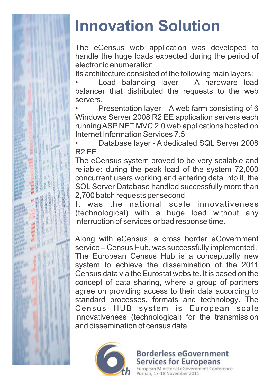

# **Innovation Solution**

The eCensus web application was developed to handle the huge loads expected during the period of electronic enumeration.

Its architecture consisted of the following main layers:

• Load balancing layer – A hardware load balancer that distributed the requests to the web servers.

• Presentation layer – A web farm consisting of 6 Windows Server 2008 R2 EE application servers each running ASP.NET MVC 2.0 web applications hosted on Internet Information Services 7.5.

• Database layer - A dedicated SQL Server 2008 R2 EE.

The eCensus system proved to be very scalable and reliable: during the peak load of the system 72,000 concurrent users working and entering data into it, the SQL Server Database handled successfully more than 2,700 batch requests per second.

It was the national scale innovativeness (technological) with a huge load without any interruption of services or bad response time.

Along with eCensus, a cross border eGovernment service – Census Hub, was successfully implemented.

The European Census Hub is a conceptually new system to achieve the dissemination of the 2011 Census data via the Eurostat website. It is based on the concept of data sharing, where a group of partners agree on providing access to their data according to standard processes, formats and technology. The Census HUB system is European scale innovativeness (technological) for the transmission and dissemination of census data.